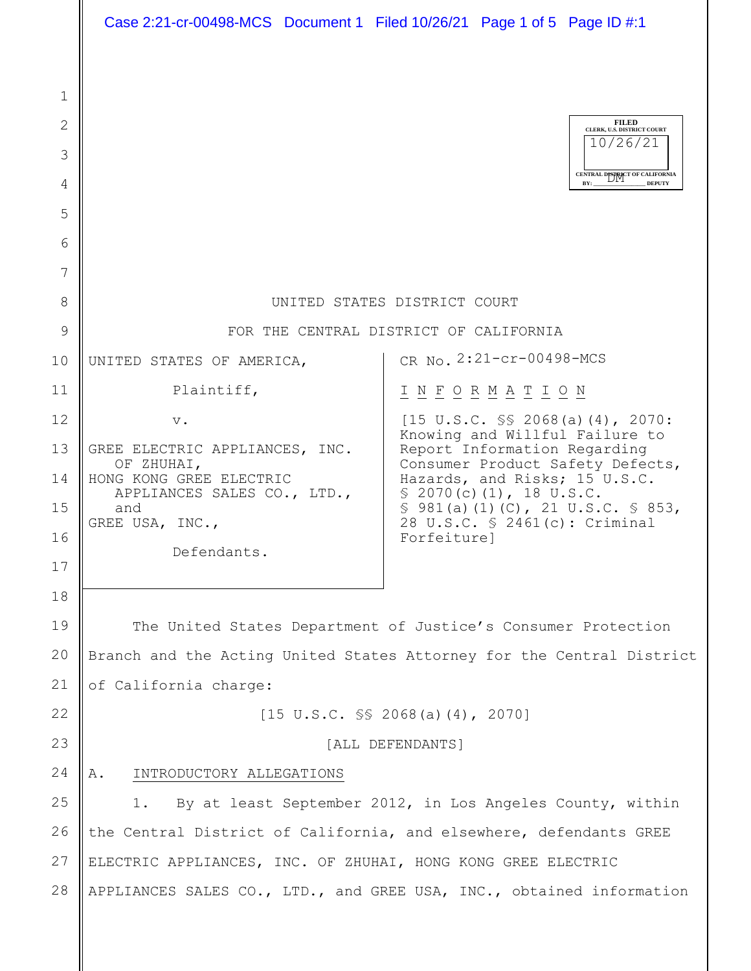|              | Case 2:21-cr-00498-MCS Document 1 Filed 10/26/21 Page 1 of 5 Page ID #:1 |                                                                              |
|--------------|--------------------------------------------------------------------------|------------------------------------------------------------------------------|
|              |                                                                          |                                                                              |
| $\mathbf{1}$ |                                                                          |                                                                              |
| 2            |                                                                          | <b>FILED</b><br>CLERK, U.S. DISTRICT COURT<br>10/26/21                       |
| 3            |                                                                          |                                                                              |
| 4            |                                                                          | CENTRAL DISTRICT OF CALIFORNIA<br>BY:<br><b>DEPUTY</b>                       |
| 5            |                                                                          |                                                                              |
| 6            |                                                                          |                                                                              |
| 7            |                                                                          |                                                                              |
| 8            | UNITED STATES DISTRICT COURT                                             |                                                                              |
| 9            | FOR THE CENTRAL DISTRICT OF CALIFORNIA                                   |                                                                              |
| 10           | UNITED STATES OF AMERICA,                                                | CR No. 2:21-cr-00498-MCS                                                     |
| 11           | Plaintiff,                                                               | I N F O R M A T I O N                                                        |
| 12           | $V$ .                                                                    | $[15 \text{ U.S.C. }$ SS 2068(a)(4), 2070:<br>Knowing and Willful Failure to |
| 13           | GREE ELECTRIC APPLIANCES, INC.<br>OF ZHUHAI,                             | Report Information Regarding<br>Consumer Product Safety Defects,             |
| 14           | HONG KONG GREE ELECTRIC<br>APPLIANCES SALES CO., LTD.,                   | Hazards, and Risks; 15 U.S.C.<br>\$2070(c)(1), 18 U.S.C.                     |
| 15           | and<br>GREE USA, INC.,                                                   | $$981(a) (1) (C)$ , 21 U.S.C. $$853$ ,<br>28 U.S.C. § 2461(c): Criminal      |
| 16           | Defendants.                                                              | Forfeiture]                                                                  |
| 17           |                                                                          |                                                                              |
| 18           |                                                                          |                                                                              |
| 19           | The United States Department of Justice's Consumer Protection            |                                                                              |
| 20           | Branch and the Acting United States Attorney for the Central District    |                                                                              |
| 21           | of California charge:                                                    |                                                                              |
| 22           | $[15 \text{ U.S.C. }$ SS 2068(a)(4), 2070]                               |                                                                              |
| 23           | [ALL DEFENDANTS]                                                         |                                                                              |
| 24           | INTRODUCTORY ALLEGATIONS<br>Α.                                           |                                                                              |
| 25           | By at least September 2012, in Los Angeles County, within<br>1.          |                                                                              |
| 26           | the Central District of California, and elsewhere, defendants GREE       |                                                                              |
| 27           | ELECTRIC APPLIANCES, INC. OF ZHUHAI, HONG KONG GREE ELECTRIC             |                                                                              |
| 28           |                                                                          | APPLIANCES SALES CO., LTD., and GREE USA, INC., obtained information         |
|              |                                                                          |                                                                              |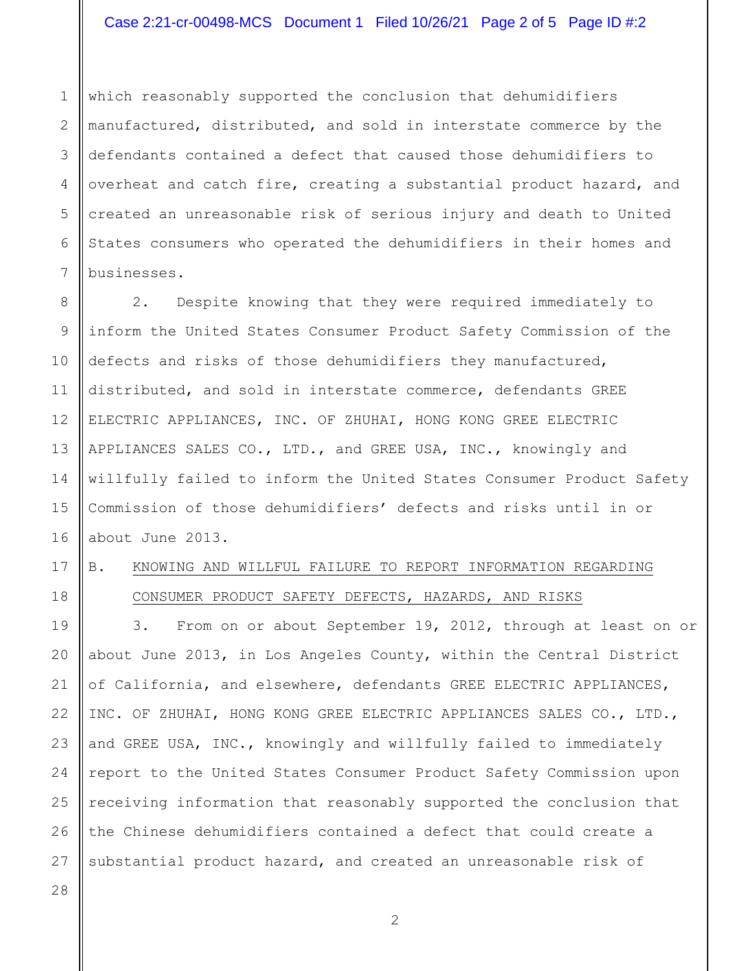1 2 3 4 5 6 7 which reasonably supported the conclusion that dehumidifiers manufactured, distributed, and sold in interstate commerce by the defendants contained a defect that caused those dehumidifiers to overheat and catch fire, creating a substantial product hazard, and created an unreasonable risk of serious injury and death to United States consumers who operated the dehumidifiers in their homes and businesses.

8 9 10 11 12 13 14 15 16 2. Despite knowing that they were required immediately to inform the United States Consumer Product Safety Commission of the defects and risks of those dehumidifiers they manufactured, distributed, and sold in interstate commerce, defendants GREE ELECTRIC APPLIANCES, INC. OF ZHUHAI, HONG KONG GREE ELECTRIC APPLIANCES SALES CO., LTD., and GREE USA, INC., knowingly and willfully failed to inform the United States Consumer Product Safety Commission of those dehumidifiers' defects and risks until in or about June 2013.

## 17

18

## B. KNOWING AND WILLFUL FAILURE TO REPORT INFORMATION REGARDING CONSUMER PRODUCT SAFETY DEFECTS, HAZARDS, AND RISKS

19 20 21 22 23 24 25 26 27 3. From on or about September 19, 2012, through at least on or about June 2013, in Los Angeles County, within the Central District of California, and elsewhere, defendants GREE ELECTRIC APPLIANCES, INC. OF ZHUHAI, HONG KONG GREE ELECTRIC APPLIANCES SALES CO., LTD., and GREE USA, INC., knowingly and willfully failed to immediately report to the United States Consumer Product Safety Commission upon receiving information that reasonably supported the conclusion that the Chinese dehumidifiers contained a defect that could create a substantial product hazard, and created an unreasonable risk of

28

2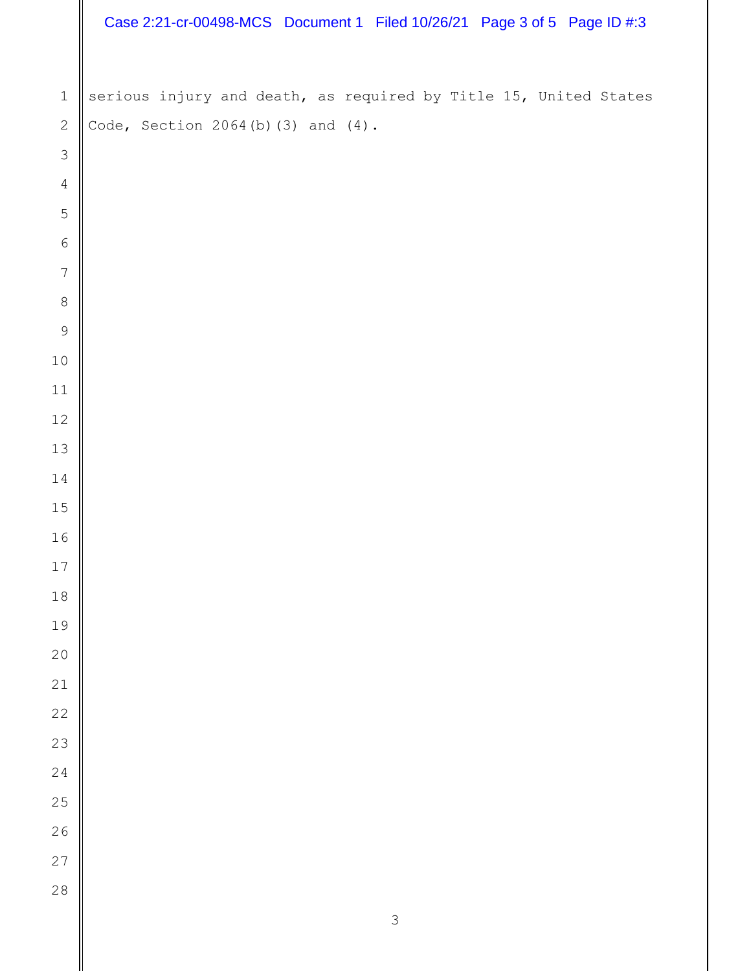|                  | Case 2:21-cr-00498-MCS Document 1 Filed 10/26/21 Page 3 of 5 Page ID #:3 |
|------------------|--------------------------------------------------------------------------|
|                  |                                                                          |
| $\mathbf 1$      | serious injury and death, as required by Title 15, United States         |
| $\mathbf{2}$     | Code, Section $2064(b)$ (3) and $(4)$ .                                  |
| $\mathcal{S}$    |                                                                          |
| $\overline{4}$   |                                                                          |
| 5                |                                                                          |
| $\sqrt{6}$       |                                                                          |
| $\boldsymbol{7}$ |                                                                          |
| $\,8\,$          |                                                                          |
| $\mathsf 9$      |                                                                          |
| $10$             |                                                                          |
| $11$             |                                                                          |
| 12               |                                                                          |
| $13$             |                                                                          |
| 14               |                                                                          |
| $15\,$           |                                                                          |
| 16<br>$17$       |                                                                          |
| $1\,8$           |                                                                          |
| 19               |                                                                          |
| $20$             |                                                                          |
| 21               |                                                                          |
| 22               |                                                                          |
| 23               |                                                                          |
| 24               |                                                                          |
| 25               |                                                                          |
| 26               |                                                                          |
| 27               |                                                                          |
| 28               |                                                                          |
|                  | $\mathsf 3$                                                              |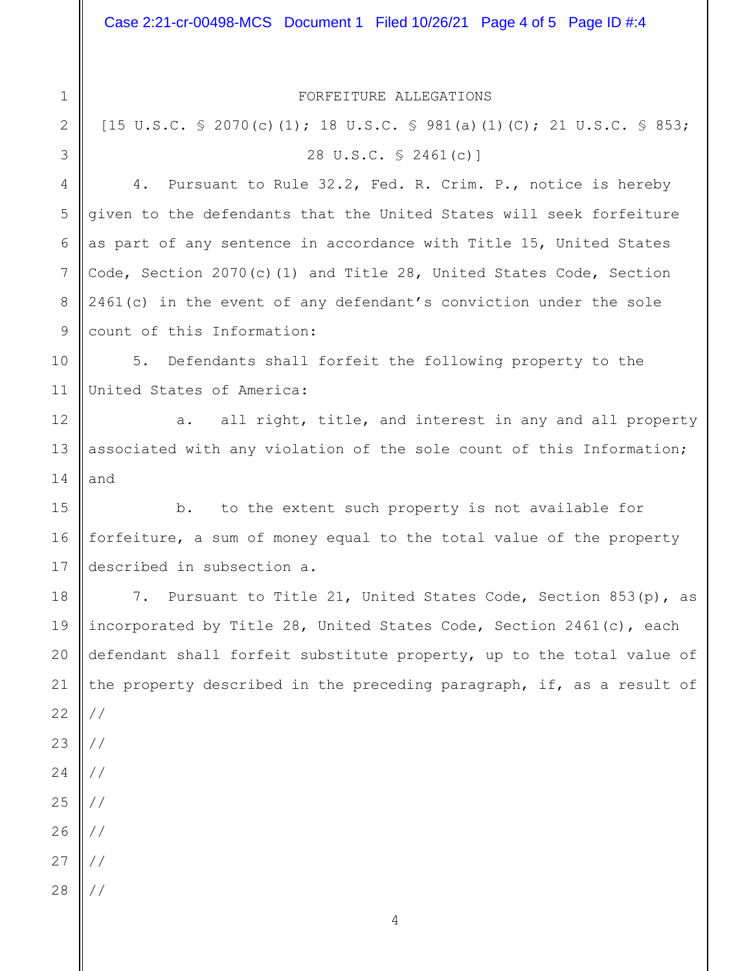FORFEITURE ALLEGATIONS

[15 U.S.C. § 2070(c)(1); 18 U.S.C. § 981(a)(1)(C); 21 U.S.C. § 853; 28 U.S.C. § 2461(c)]

4. Pursuant to Rule 32.2, Fed. R. Crim. P., notice is hereby given to the defendants that the United States will seek forfeiture as part of any sentence in accordance with Title 15, United States Code, Section 2070(c)(1) and Title 28, United States Code, Section 2461(c) in the event of any defendant's conviction under the sole count of this Information:

10 11 5. Defendants shall forfeit the following property to the United States of America:

a. all right, title, and interest in any and all property associated with any violation of the sole count of this Information; and

15 16 17 b. to the extent such property is not available for forfeiture, a sum of money equal to the total value of the property described in subsection a.

18 19 20 21 22 23 24 25 26 27 28 7. Pursuant to Title 21, United States Code, Section 853(p), as incorporated by Title 28, United States Code, Section 2461(c), each defendant shall forfeit substitute property, up to the total value of the property described in the preceding paragraph, if, as a result of // // // // // // //

5

6

7

8

9

12

13

14

1